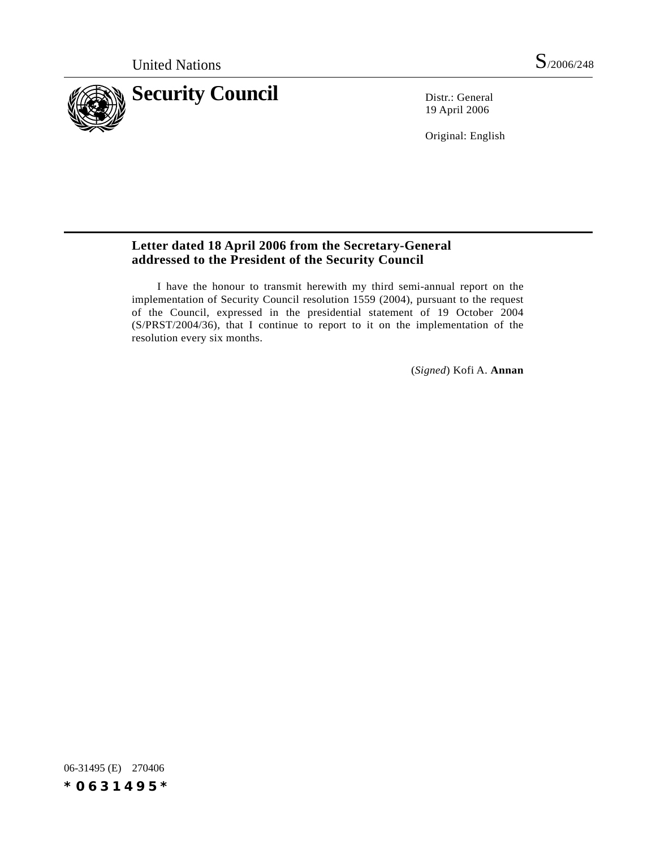

19 April 2006

Original: English

## **Letter dated 18 April 2006 from the Secretary-General addressed to the President of the Security Council**

I have the honour to transmit herewith my third semi-annual report on the implementation of Security Council resolution 1559 (2004), pursuant to the request of the Council, expressed in the presidential statement of 19 October 2004 (S/PRST/2004/36), that I continue to report to it on the implementation of the resolution every six months.

(*Signed*) Kofi A. **Annan**

06-31495 (E) 270406 *\*0631495\**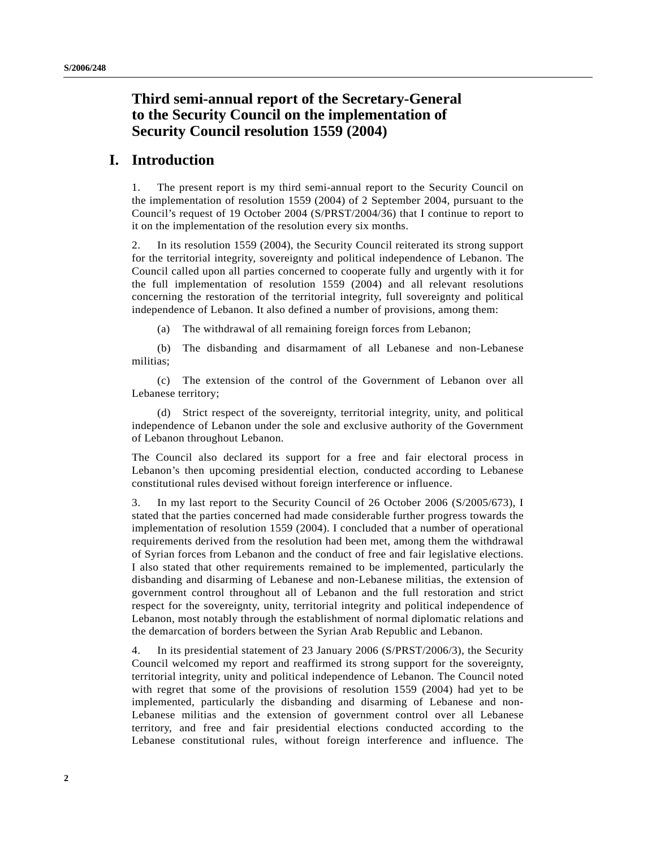# **Third semi-annual report of the Secretary-General to the Security Council on the implementation of Security Council resolution 1559 (2004)**

## **I. Introduction**

1. The present report is my third semi-annual report to the Security Council on the implementation of resolution 1559 (2004) of 2 September 2004, pursuant to the Council's request of 19 October 2004 (S/PRST/2004/36) that I continue to report to it on the implementation of the resolution every six months.

2. In its resolution 1559 (2004), the Security Council reiterated its strong support for the territorial integrity, sovereignty and political independence of Lebanon. The Council called upon all parties concerned to cooperate fully and urgently with it for the full implementation of resolution 1559 (2004) and all relevant resolutions concerning the restoration of the territorial integrity, full sovereignty and political independence of Lebanon. It also defined a number of provisions, among them:

(a) The withdrawal of all remaining foreign forces from Lebanon;

(b) The disbanding and disarmament of all Lebanese and non-Lebanese militias;

(c) The extension of the control of the Government of Lebanon over all Lebanese territory;

(d) Strict respect of the sovereignty, territorial integrity, unity, and political independence of Lebanon under the sole and exclusive authority of the Government of Lebanon throughout Lebanon.

The Council also declared its support for a free and fair electoral process in Lebanon's then upcoming presidential election, conducted according to Lebanese constitutional rules devised without foreign interference or influence.

3. In my last report to the Security Council of 26 October 2006 (S/2005/673), I stated that the parties concerned had made considerable further progress towards the implementation of resolution 1559 (2004). I concluded that a number of operational requirements derived from the resolution had been met, among them the withdrawal of Syrian forces from Lebanon and the conduct of free and fair legislative elections. I also stated that other requirements remained to be implemented, particularly the disbanding and disarming of Lebanese and non-Lebanese militias, the extension of government control throughout all of Lebanon and the full restoration and strict respect for the sovereignty, unity, territorial integrity and political independence of Lebanon, most notably through the establishment of normal diplomatic relations and the demarcation of borders between the Syrian Arab Republic and Lebanon.

4. In its presidential statement of 23 January 2006 (S/PRST/2006/3), the Security Council welcomed my report and reaffirmed its strong support for the sovereignty, territorial integrity, unity and political independence of Lebanon. The Council noted with regret that some of the provisions of resolution 1559 (2004) had yet to be implemented, particularly the disbanding and disarming of Lebanese and non-Lebanese militias and the extension of government control over all Lebanese territory, and free and fair presidential elections conducted according to the Lebanese constitutional rules, without foreign interference and influence. The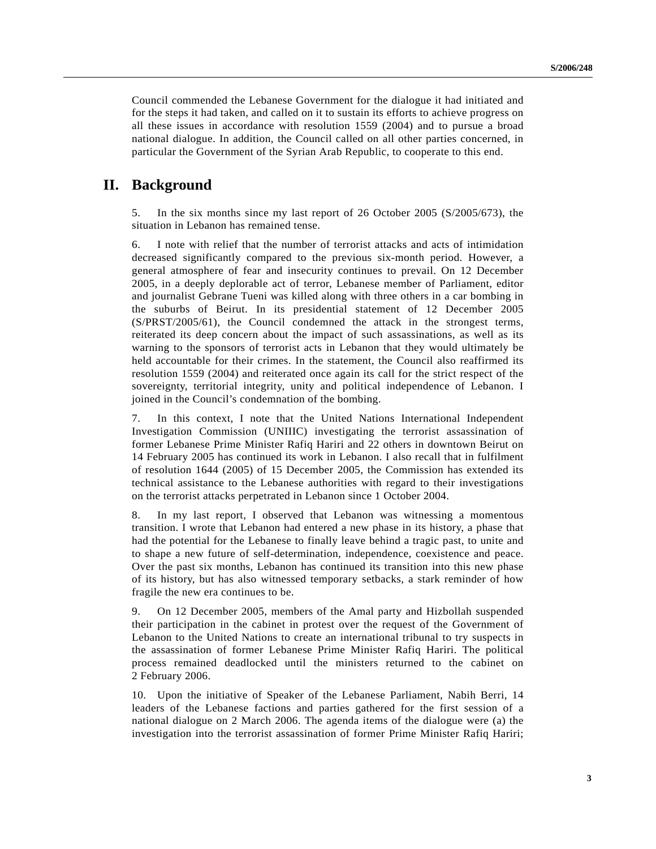Council commended the Lebanese Government for the dialogue it had initiated and for the steps it had taken, and called on it to sustain its efforts to achieve progress on all these issues in accordance with resolution 1559 (2004) and to pursue a broad national dialogue. In addition, the Council called on all other parties concerned, in particular the Government of the Syrian Arab Republic, to cooperate to this end.

# **II. Background**

5. In the six months since my last report of 26 October 2005 (S/2005/673), the situation in Lebanon has remained tense.

6. I note with relief that the number of terrorist attacks and acts of intimidation decreased significantly compared to the previous six-month period. However, a general atmosphere of fear and insecurity continues to prevail. On 12 December 2005, in a deeply deplorable act of terror, Lebanese member of Parliament, editor and journalist Gebrane Tueni was killed along with three others in a car bombing in the suburbs of Beirut. In its presidential statement of 12 December 2005 (S/PRST/2005/61), the Council condemned the attack in the strongest terms, reiterated its deep concern about the impact of such assassinations, as well as its warning to the sponsors of terrorist acts in Lebanon that they would ultimately be held accountable for their crimes. In the statement, the Council also reaffirmed its resolution 1559 (2004) and reiterated once again its call for the strict respect of the sovereignty, territorial integrity, unity and political independence of Lebanon. I joined in the Council's condemnation of the bombing.

7. In this context, I note that the United Nations International Independent Investigation Commission (UNIIIC) investigating the terrorist assassination of former Lebanese Prime Minister Rafiq Hariri and 22 others in downtown Beirut on 14 February 2005 has continued its work in Lebanon. I also recall that in fulfilment of resolution 1644 (2005) of 15 December 2005, the Commission has extended its technical assistance to the Lebanese authorities with regard to their investigations on the terrorist attacks perpetrated in Lebanon since 1 October 2004.

8. In my last report, I observed that Lebanon was witnessing a momentous transition. I wrote that Lebanon had entered a new phase in its history, a phase that had the potential for the Lebanese to finally leave behind a tragic past, to unite and to shape a new future of self-determination, independence, coexistence and peace. Over the past six months, Lebanon has continued its transition into this new phase of its history, but has also witnessed temporary setbacks, a stark reminder of how fragile the new era continues to be.

9. On 12 December 2005, members of the Amal party and Hizbollah suspended their participation in the cabinet in protest over the request of the Government of Lebanon to the United Nations to create an international tribunal to try suspects in the assassination of former Lebanese Prime Minister Rafiq Hariri. The political process remained deadlocked until the ministers returned to the cabinet on 2 February 2006.

10. Upon the initiative of Speaker of the Lebanese Parliament, Nabih Berri, 14 leaders of the Lebanese factions and parties gathered for the first session of a national dialogue on 2 March 2006. The agenda items of the dialogue were (a) the investigation into the terrorist assassination of former Prime Minister Rafiq Hariri;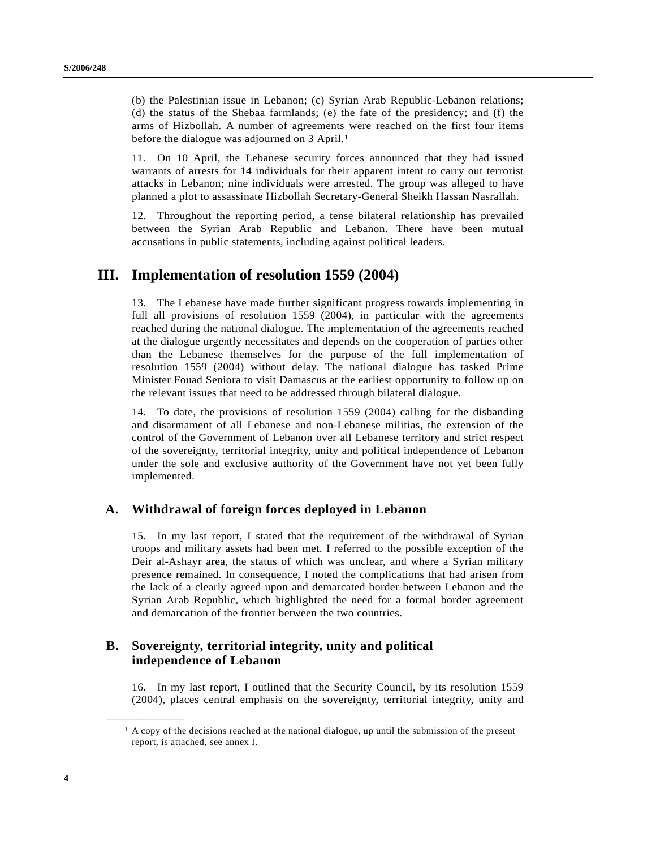(b) the Palestinian issue in Lebanon; (c) Syrian Arab Republic-Lebanon relations; (d) the status of the Shebaa farmlands; (e) the fate of the presidency; and (f) the arms of Hizbollah. A number of agreements were reached on the first four items before the dialogue was adjourned on 3 April.<sup>1</sup>

11. On 10 April, the Lebanese security forces announced that they had issued warrants of arrests for 14 individuals for their apparent intent to carry out terrorist attacks in Lebanon; nine individuals were arrested. The group was alleged to have planned a plot to assassinate Hizbollah Secretary-General Sheikh Hassan Nasrallah.

12. Throughout the reporting period, a tense bilateral relationship has prevailed between the Syrian Arab Republic and Lebanon. There have been mutual accusations in public statements, including against political leaders.

## **III. Implementation of resolution 1559 (2004)**

13. The Lebanese have made further significant progress towards implementing in full all provisions of resolution 1559 (2004), in particular with the agreements reached during the national dialogue. The implementation of the agreements reached at the dialogue urgently necessitates and depends on the cooperation of parties other than the Lebanese themselves for the purpose of the full implementation of resolution 1559 (2004) without delay. The national dialogue has tasked Prime Minister Fouad Seniora to visit Damascus at the earliest opportunity to follow up on the relevant issues that need to be addressed through bilateral dialogue.

14. To date, the provisions of resolution 1559 (2004) calling for the disbanding and disarmament of all Lebanese and non-Lebanese militias, the extension of the control of the Government of Lebanon over all Lebanese territory and strict respect of the sovereignty, territorial integrity, unity and political independence of Lebanon under the sole and exclusive authority of the Government have not yet been fully implemented.

## **A. Withdrawal of foreign forces deployed in Lebanon**

15. In my last report, I stated that the requirement of the withdrawal of Syrian troops and military assets had been met. I referred to the possible exception of the Deir al-Ashayr area, the status of which was unclear, and where a Syrian military presence remained. In consequence, I noted the complications that had arisen from the lack of a clearly agreed upon and demarcated border between Lebanon and the Syrian Arab Republic, which highlighted the need for a formal border agreement and demarcation of the frontier between the two countries.

## **B. Sovereignty, territorial integrity, unity and political independence of Lebanon**

16. In my last report, I outlined that the Security Council, by its resolution 1559 (2004), places central emphasis on the sovereignty, territorial integrity, unity and

**\_\_\_\_\_\_\_\_\_\_\_\_\_\_\_\_\_\_**

<sup>1</sup> A copy of the decisions reached at the national dialogue, up until the submission of the present report, is attached, see annex I.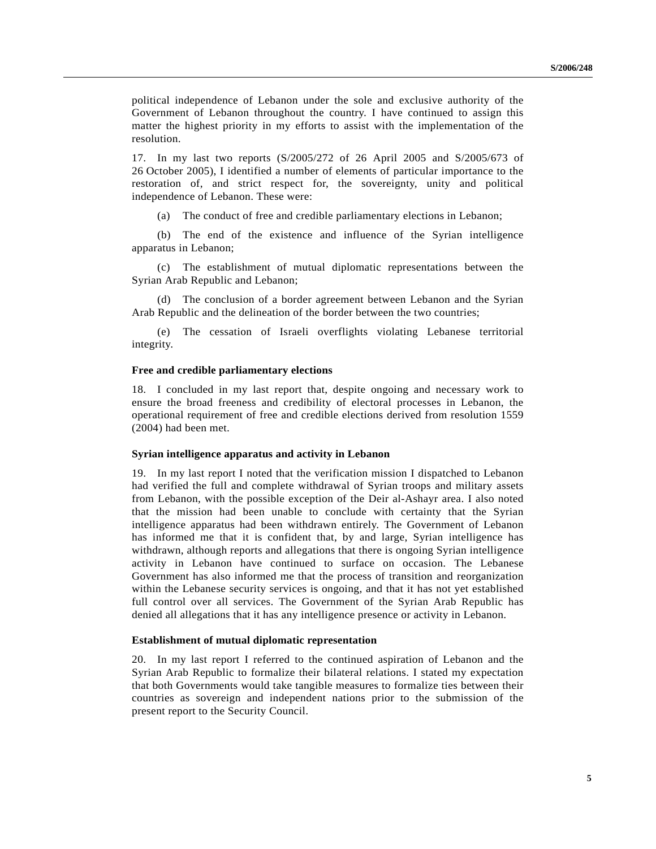political independence of Lebanon under the sole and exclusive authority of the Government of Lebanon throughout the country. I have continued to assign this matter the highest priority in my efforts to assist with the implementation of the resolution.

17. In my last two reports (S/2005/272 of 26 April 2005 and S/2005/673 of 26 October 2005), I identified a number of elements of particular importance to the restoration of, and strict respect for, the sovereignty, unity and political independence of Lebanon. These were:

(a) The conduct of free and credible parliamentary elections in Lebanon;

(b) The end of the existence and influence of the Syrian intelligence apparatus in Lebanon;

(c) The establishment of mutual diplomatic representations between the Syrian Arab Republic and Lebanon;

(d) The conclusion of a border agreement between Lebanon and the Syrian Arab Republic and the delineation of the border between the two countries;

(e) The cessation of Israeli overflights violating Lebanese territorial integrity.

#### **Free and credible parliamentary elections**

18. I concluded in my last report that, despite ongoing and necessary work to ensure the broad freeness and credibility of electoral processes in Lebanon, the operational requirement of free and credible elections derived from resolution 1559 (2004) had been met.

### **Syrian intelligence apparatus and activity in Lebanon**

19. In my last report I noted that the verification mission I dispatched to Lebanon had verified the full and complete withdrawal of Syrian troops and military assets from Lebanon, with the possible exception of the Deir al-Ashayr area. I also noted that the mission had been unable to conclude with certainty that the Syrian intelligence apparatus had been withdrawn entirely. The Government of Lebanon has informed me that it is confident that, by and large, Syrian intelligence has withdrawn, although reports and allegations that there is ongoing Syrian intelligence activity in Lebanon have continued to surface on occasion. The Lebanese Government has also informed me that the process of transition and reorganization within the Lebanese security services is ongoing, and that it has not yet established full control over all services. The Government of the Syrian Arab Republic has denied all allegations that it has any intelligence presence or activity in Lebanon.

### **Establishment of mutual diplomatic representation**

20. In my last report I referred to the continued aspiration of Lebanon and the Syrian Arab Republic to formalize their bilateral relations. I stated my expectation that both Governments would take tangible measures to formalize ties between their countries as sovereign and independent nations prior to the submission of the present report to the Security Council.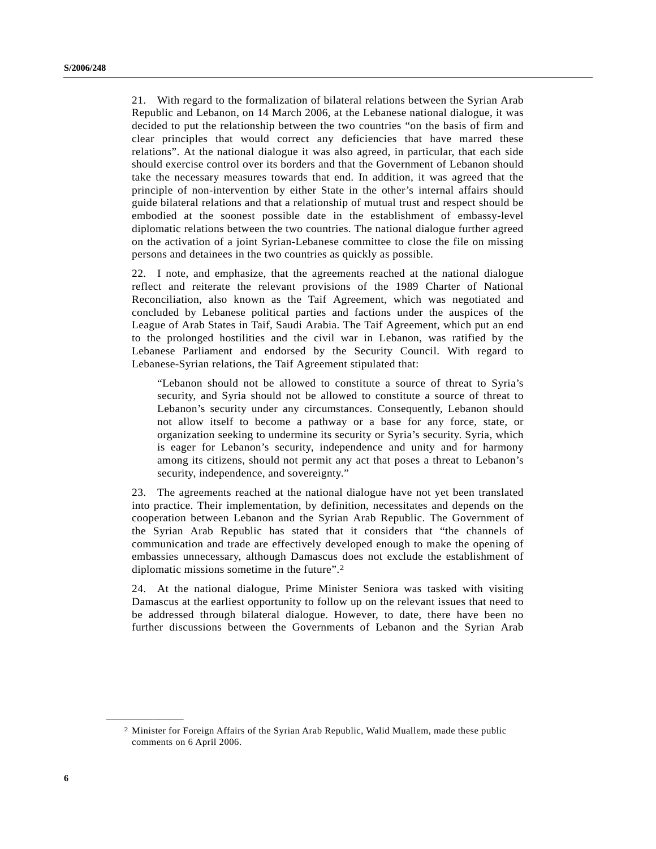21. With regard to the formalization of bilateral relations between the Syrian Arab Republic and Lebanon, on 14 March 2006, at the Lebanese national dialogue, it was decided to put the relationship between the two countries "on the basis of firm and clear principles that would correct any deficiencies that have marred these relations". At the national dialogue it was also agreed, in particular, that each side should exercise control over its borders and that the Government of Lebanon should take the necessary measures towards that end. In addition, it was agreed that the principle of non-intervention by either State in the other's internal affairs should guide bilateral relations and that a relationship of mutual trust and respect should be embodied at the soonest possible date in the establishment of embassy-level diplomatic relations between the two countries. The national dialogue further agreed on the activation of a joint Syrian-Lebanese committee to close the file on missing persons and detainees in the two countries as quickly as possible.

22. I note, and emphasize, that the agreements reached at the national dialogue reflect and reiterate the relevant provisions of the 1989 Charter of National Reconciliation, also known as the Taif Agreement, which was negotiated and concluded by Lebanese political parties and factions under the auspices of the League of Arab States in Taif, Saudi Arabia. The Taif Agreement, which put an end to the prolonged hostilities and the civil war in Lebanon, was ratified by the Lebanese Parliament and endorsed by the Security Council. With regard to Lebanese-Syrian relations, the Taif Agreement stipulated that:

"Lebanon should not be allowed to constitute a source of threat to Syria's security, and Syria should not be allowed to constitute a source of threat to Lebanon's security under any circumstances. Consequently, Lebanon should not allow itself to become a pathway or a base for any force, state, or organization seeking to undermine its security or Syria's security. Syria, which is eager for Lebanon's security, independence and unity and for harmony among its citizens, should not permit any act that poses a threat to Lebanon's security, independence, and sovereignty."

23. The agreements reached at the national dialogue have not yet been translated into practice. Their implementation, by definition, necessitates and depends on the cooperation between Lebanon and the Syrian Arab Republic. The Government of the Syrian Arab Republic has stated that it considers that "the channels of communication and trade are effectively developed enough to make the opening of embassies unnecessary, although Damascus does not exclude the establishment of diplomatic missions sometime in the future".2

24. At the national dialogue, Prime Minister Seniora was tasked with visiting Damascus at the earliest opportunity to follow up on the relevant issues that need to be addressed through bilateral dialogue. However, to date, there have been no further discussions between the Governments of Lebanon and the Syrian Arab

**\_\_\_\_\_\_\_\_\_\_\_\_\_\_\_\_\_\_**

<sup>2</sup> Minister for Foreign Affairs of the Syrian Arab Republic, Walid Muallem, made these public comments on 6 April 2006.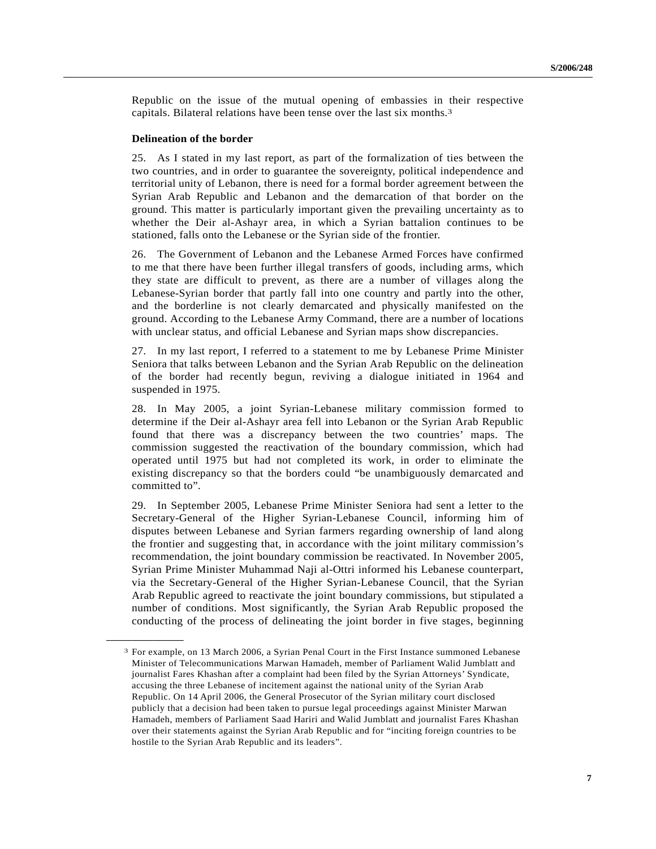Republic on the issue of the mutual opening of embassies in their respective capitals. Bilateral relations have been tense over the last six months.3

#### **Delineation of the border**

**\_\_\_\_\_\_\_\_\_\_\_\_\_\_\_\_\_\_**

25. As I stated in my last report, as part of the formalization of ties between the two countries, and in order to guarantee the sovereignty, political independence and territorial unity of Lebanon, there is need for a formal border agreement between the Syrian Arab Republic and Lebanon and the demarcation of that border on the ground. This matter is particularly important given the prevailing uncertainty as to whether the Deir al-Ashayr area, in which a Syrian battalion continues to be stationed, falls onto the Lebanese or the Syrian side of the frontier.

26. The Government of Lebanon and the Lebanese Armed Forces have confirmed to me that there have been further illegal transfers of goods, including arms, which they state are difficult to prevent, as there are a number of villages along the Lebanese-Syrian border that partly fall into one country and partly into the other, and the borderline is not clearly demarcated and physically manifested on the ground. According to the Lebanese Army Command, there are a number of locations with unclear status, and official Lebanese and Syrian maps show discrepancies.

27. In my last report, I referred to a statement to me by Lebanese Prime Minister Seniora that talks between Lebanon and the Syrian Arab Republic on the delineation of the border had recently begun, reviving a dialogue initiated in 1964 and suspended in 1975.

28. In May 2005, a joint Syrian-Lebanese military commission formed to determine if the Deir al-Ashayr area fell into Lebanon or the Syrian Arab Republic found that there was a discrepancy between the two countries' maps. The commission suggested the reactivation of the boundary commission, which had operated until 1975 but had not completed its work, in order to eliminate the existing discrepancy so that the borders could "be unambiguously demarcated and committed to".

29. In September 2005, Lebanese Prime Minister Seniora had sent a letter to the Secretary-General of the Higher Syrian-Lebanese Council, informing him of disputes between Lebanese and Syrian farmers regarding ownership of land along the frontier and suggesting that, in accordance with the joint military commission's recommendation, the joint boundary commission be reactivated. In November 2005, Syrian Prime Minister Muhammad Naji al-Ottri informed his Lebanese counterpart, via the Secretary-General of the Higher Syrian-Lebanese Council, that the Syrian Arab Republic agreed to reactivate the joint boundary commissions, but stipulated a number of conditions. Most significantly, the Syrian Arab Republic proposed the conducting of the process of delineating the joint border in five stages, beginning

<sup>3</sup> For example, on 13 March 2006, a Syrian Penal Court in the First Instance summoned Lebanese Minister of Telecommunications Marwan Hamadeh, member of Parliament Walid Jumblatt and journalist Fares Khashan after a complaint had been filed by the Syrian Attorneys' Syndicate, accusing the three Lebanese of incitement against the national unity of the Syrian Arab Republic. On 14 April 2006, the General Prosecutor of the Syrian military court disclosed publicly that a decision had been taken to pursue legal proceedings against Minister Marwan Hamadeh, members of Parliament Saad Hariri and Walid Jumblatt and journalist Fares Khashan over their statements against the Syrian Arab Republic and for "inciting foreign countries to be hostile to the Syrian Arab Republic and its leaders".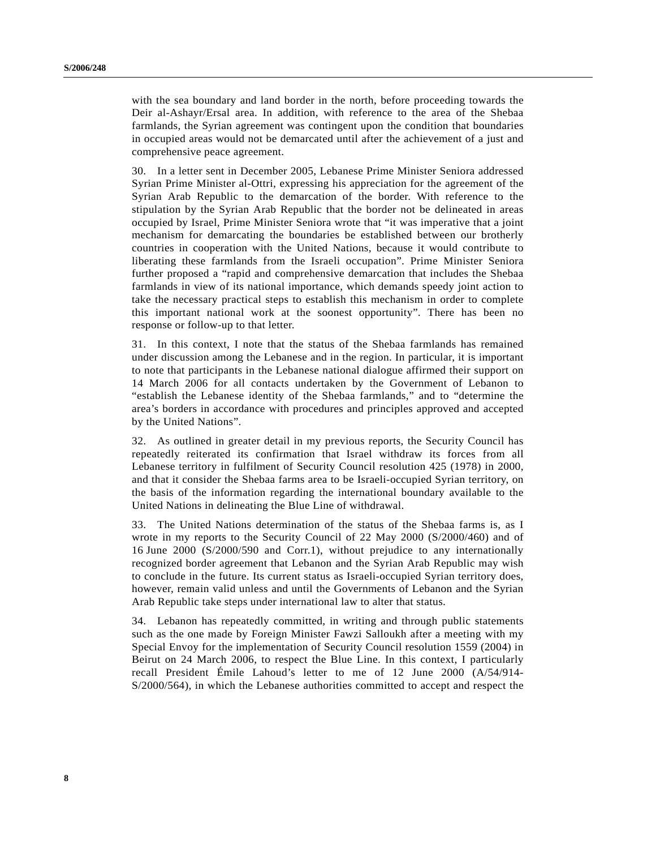with the sea boundary and land border in the north, before proceeding towards the Deir al-Ashayr/Ersal area. In addition, with reference to the area of the Shebaa farmlands, the Syrian agreement was contingent upon the condition that boundaries in occupied areas would not be demarcated until after the achievement of a just and comprehensive peace agreement.

30. In a letter sent in December 2005, Lebanese Prime Minister Seniora addressed Syrian Prime Minister al-Ottri, expressing his appreciation for the agreement of the Syrian Arab Republic to the demarcation of the border. With reference to the stipulation by the Syrian Arab Republic that the border not be delineated in areas occupied by Israel, Prime Minister Seniora wrote that "it was imperative that a joint mechanism for demarcating the boundaries be established between our brotherly countries in cooperation with the United Nations, because it would contribute to liberating these farmlands from the Israeli occupation". Prime Minister Seniora further proposed a "rapid and comprehensive demarcation that includes the Shebaa farmlands in view of its national importance, which demands speedy joint action to take the necessary practical steps to establish this mechanism in order to complete this important national work at the soonest opportunity". There has been no response or follow-up to that letter.

31. In this context, I note that the status of the Shebaa farmlands has remained under discussion among the Lebanese and in the region. In particular, it is important to note that participants in the Lebanese national dialogue affirmed their support on 14 March 2006 for all contacts undertaken by the Government of Lebanon to "establish the Lebanese identity of the Shebaa farmlands," and to "determine the area's borders in accordance with procedures and principles approved and accepted by the United Nations".

32. As outlined in greater detail in my previous reports, the Security Council has repeatedly reiterated its confirmation that Israel withdraw its forces from all Lebanese territory in fulfilment of Security Council resolution 425 (1978) in 2000, and that it consider the Shebaa farms area to be Israeli-occupied Syrian territory, on the basis of the information regarding the international boundary available to the United Nations in delineating the Blue Line of withdrawal.

33. The United Nations determination of the status of the Shebaa farms is, as I wrote in my reports to the Security Council of 22 May 2000 (S/2000/460) and of 16 June 2000 (S/2000/590 and Corr.1), without prejudice to any internationally recognized border agreement that Lebanon and the Syrian Arab Republic may wish to conclude in the future. Its current status as Israeli-occupied Syrian territory does, however, remain valid unless and until the Governments of Lebanon and the Syrian Arab Republic take steps under international law to alter that status.

34. Lebanon has repeatedly committed, in writing and through public statements such as the one made by Foreign Minister Fawzi Salloukh after a meeting with my Special Envoy for the implementation of Security Council resolution 1559 (2004) in Beirut on 24 March 2006, to respect the Blue Line. In this context, I particularly recall President Émile Lahoud's letter to me of 12 June 2000 (A/54/914- S/2000/564), in which the Lebanese authorities committed to accept and respect the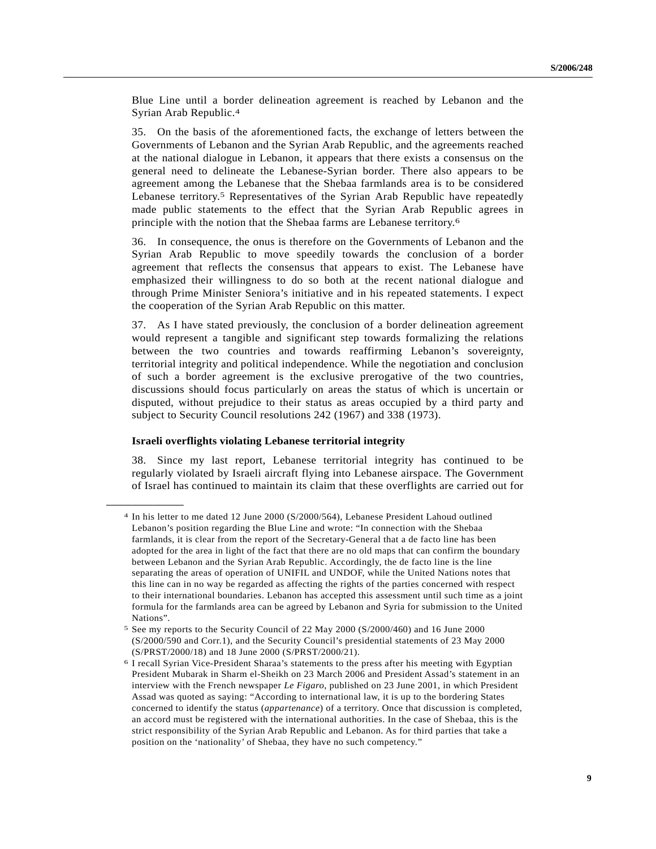Blue Line until a border delineation agreement is reached by Lebanon and the Syrian Arab Republic.4

35. On the basis of the aforementioned facts, the exchange of letters between the Governments of Lebanon and the Syrian Arab Republic, and the agreements reached at the national dialogue in Lebanon, it appears that there exists a consensus on the general need to delineate the Lebanese-Syrian border. There also appears to be agreement among the Lebanese that the Shebaa farmlands area is to be considered Lebanese territory.5 Representatives of the Syrian Arab Republic have repeatedly made public statements to the effect that the Syrian Arab Republic agrees in principle with the notion that the Shebaa farms are Lebanese territory.6

36. In consequence, the onus is therefore on the Governments of Lebanon and the Syrian Arab Republic to move speedily towards the conclusion of a border agreement that reflects the consensus that appears to exist. The Lebanese have emphasized their willingness to do so both at the recent national dialogue and through Prime Minister Seniora's initiative and in his repeated statements. I expect the cooperation of the Syrian Arab Republic on this matter.

37. As I have stated previously, the conclusion of a border delineation agreement would represent a tangible and significant step towards formalizing the relations between the two countries and towards reaffirming Lebanon's sovereignty, territorial integrity and political independence. While the negotiation and conclusion of such a border agreement is the exclusive prerogative of the two countries, discussions should focus particularly on areas the status of which is uncertain or disputed, without prejudice to their status as areas occupied by a third party and subject to Security Council resolutions 242 (1967) and 338 (1973).

#### **Israeli overflights violating Lebanese territorial integrity**

**\_\_\_\_\_\_\_\_\_\_\_\_\_\_\_\_\_\_**

38. Since my last report, Lebanese territorial integrity has continued to be regularly violated by Israeli aircraft flying into Lebanese airspace. The Government of Israel has continued to maintain its claim that these overflights are carried out for

<sup>4</sup> In his letter to me dated 12 June 2000 (S/2000/564), Lebanese President Lahoud outlined Lebanon's position regarding the Blue Line and wrote: "In connection with the Shebaa farmlands, it is clear from the report of the Secretary-General that a de facto line has been adopted for the area in light of the fact that there are no old maps that can confirm the boundary between Lebanon and the Syrian Arab Republic. Accordingly, the de facto line is the line separating the areas of operation of UNIFIL and UNDOF, while the United Nations notes that this line can in no way be regarded as affecting the rights of the parties concerned with respect to their international boundaries. Lebanon has accepted this assessment until such time as a joint formula for the farmlands area can be agreed by Lebanon and Syria for submission to the United Nations".

<sup>5</sup> See my reports to the Security Council of 22 May 2000 (S/2000/460) and 16 June 2000 (S/2000/590 and Corr.1), and the Security Council's presidential statements of 23 May 2000 (S/PRST/2000/18) and 18 June 2000 (S/PRST/2000/21).

<sup>6</sup> I recall Syrian Vice-President Sharaa's statements to the press after his meeting with Egyptian President Mubarak in Sharm el-Sheikh on 23 March 2006 and President Assad's statement in an interview with the French newspaper *Le Figaro*, published on 23 June 2001, in which President Assad was quoted as saying: "According to international law, it is up to the bordering States concerned to identify the status (*appartenance*) of a territory. Once that discussion is completed, an accord must be registered with the international authorities. In the case of Shebaa, this is the strict responsibility of the Syrian Arab Republic and Lebanon. As for third parties that take a position on the 'nationality' of Shebaa, they have no such competency."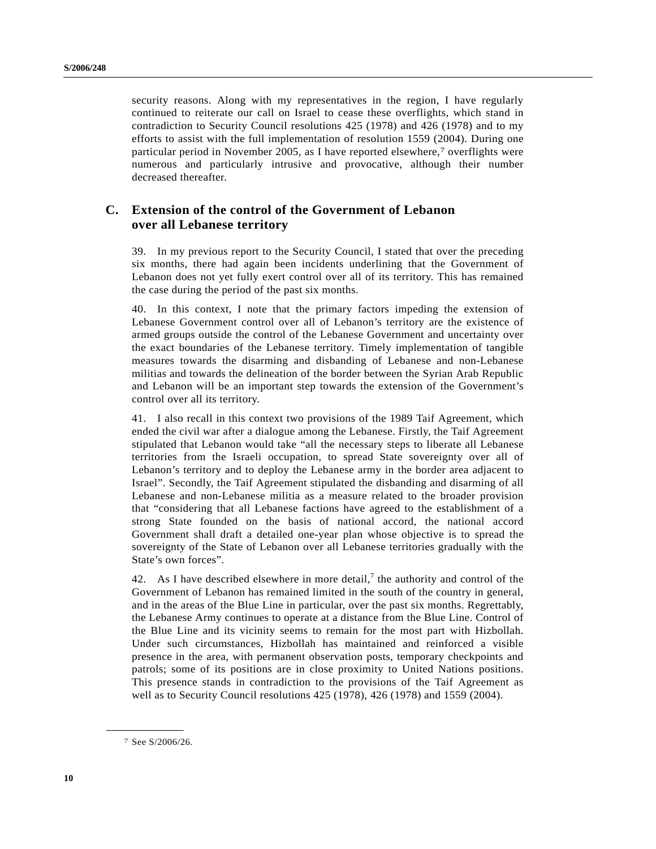security reasons. Along with my representatives in the region, I have regularly continued to reiterate our call on Israel to cease these overflights, which stand in contradiction to Security Council resolutions 425 (1978) and 426 (1978) and to my efforts to assist with the full implementation of resolution 1559 (2004). During one particular period in November 2005, as I have reported elsewhere,7 overflights were numerous and particularly intrusive and provocative, although their number decreased thereafter.

## **C. Extension of the control of the Government of Lebanon over all Lebanese territory**

39. In my previous report to the Security Council, I stated that over the preceding six months, there had again been incidents underlining that the Government of Lebanon does not yet fully exert control over all of its territory. This has remained the case during the period of the past six months.

40. In this context, I note that the primary factors impeding the extension of Lebanese Government control over all of Lebanon's territory are the existence of armed groups outside the control of the Lebanese Government and uncertainty over the exact boundaries of the Lebanese territory. Timely implementation of tangible measures towards the disarming and disbanding of Lebanese and non-Lebanese militias and towards the delineation of the border between the Syrian Arab Republic and Lebanon will be an important step towards the extension of the Government's control over all its territory.

41. I also recall in this context two provisions of the 1989 Taif Agreement, which ended the civil war after a dialogue among the Lebanese. Firstly, the Taif Agreement stipulated that Lebanon would take "all the necessary steps to liberate all Lebanese territories from the Israeli occupation, to spread State sovereignty over all of Lebanon's territory and to deploy the Lebanese army in the border area adjacent to Israel". Secondly, the Taif Agreement stipulated the disbanding and disarming of all Lebanese and non-Lebanese militia as a measure related to the broader provision that "considering that all Lebanese factions have agreed to the establishment of a strong State founded on the basis of national accord, the national accord Government shall draft a detailed one-year plan whose objective is to spread the sovereignty of the State of Lebanon over all Lebanese territories gradually with the State's own forces".

42. As I have described elsewhere in more detail,<sup>7</sup> the authority and control of the Government of Lebanon has remained limited in the south of the country in general, and in the areas of the Blue Line in particular, over the past six months. Regrettably, the Lebanese Army continues to operate at a distance from the Blue Line. Control of the Blue Line and its vicinity seems to remain for the most part with Hizbollah. Under such circumstances, Hizbollah has maintained and reinforced a visible presence in the area, with permanent observation posts, temporary checkpoints and patrols; some of its positions are in close proximity to United Nations positions. This presence stands in contradiction to the provisions of the Taif Agreement as well as to Security Council resolutions 425 (1978), 426 (1978) and 1559 (2004).

**\_\_\_\_\_\_\_\_\_\_\_\_\_\_\_\_\_\_**

<sup>7</sup> See S/2006/26.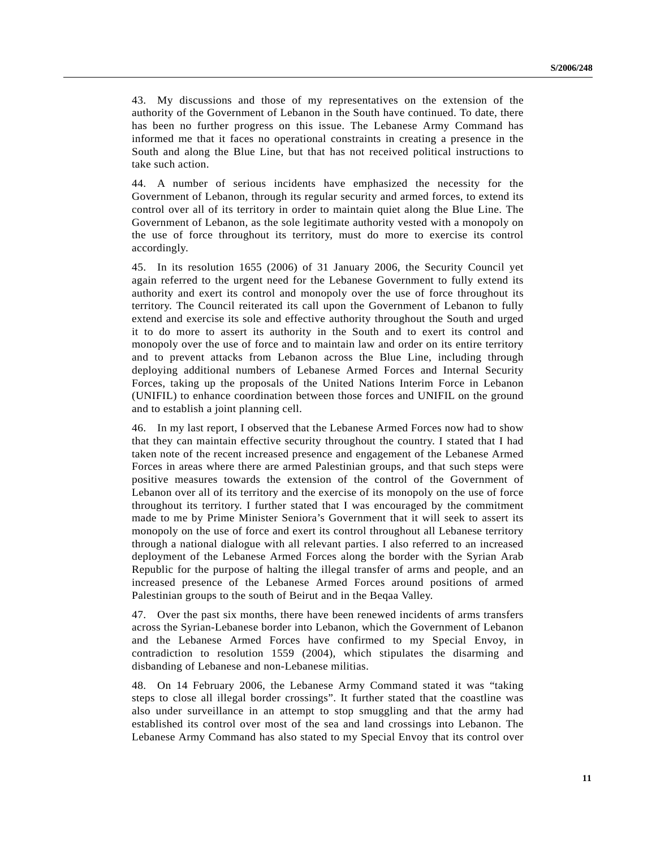43. My discussions and those of my representatives on the extension of the authority of the Government of Lebanon in the South have continued. To date, there has been no further progress on this issue. The Lebanese Army Command has informed me that it faces no operational constraints in creating a presence in the South and along the Blue Line, but that has not received political instructions to take such action.

44. A number of serious incidents have emphasized the necessity for the Government of Lebanon, through its regular security and armed forces, to extend its control over all of its territory in order to maintain quiet along the Blue Line. The Government of Lebanon, as the sole legitimate authority vested with a monopoly on the use of force throughout its territory, must do more to exercise its control accordingly.

45. In its resolution 1655 (2006) of 31 January 2006, the Security Council yet again referred to the urgent need for the Lebanese Government to fully extend its authority and exert its control and monopoly over the use of force throughout its territory. The Council reiterated its call upon the Government of Lebanon to fully extend and exercise its sole and effective authority throughout the South and urged it to do more to assert its authority in the South and to exert its control and monopoly over the use of force and to maintain law and order on its entire territory and to prevent attacks from Lebanon across the Blue Line, including through deploying additional numbers of Lebanese Armed Forces and Internal Security Forces, taking up the proposals of the United Nations Interim Force in Lebanon (UNIFIL) to enhance coordination between those forces and UNIFIL on the ground and to establish a joint planning cell.

46. In my last report, I observed that the Lebanese Armed Forces now had to show that they can maintain effective security throughout the country. I stated that I had taken note of the recent increased presence and engagement of the Lebanese Armed Forces in areas where there are armed Palestinian groups, and that such steps were positive measures towards the extension of the control of the Government of Lebanon over all of its territory and the exercise of its monopoly on the use of force throughout its territory. I further stated that I was encouraged by the commitment made to me by Prime Minister Seniora's Government that it will seek to assert its monopoly on the use of force and exert its control throughout all Lebanese territory through a national dialogue with all relevant parties. I also referred to an increased deployment of the Lebanese Armed Forces along the border with the Syrian Arab Republic for the purpose of halting the illegal transfer of arms and people, and an increased presence of the Lebanese Armed Forces around positions of armed Palestinian groups to the south of Beirut and in the Beqaa Valley.

47. Over the past six months, there have been renewed incidents of arms transfers across the Syrian-Lebanese border into Lebanon, which the Government of Lebanon and the Lebanese Armed Forces have confirmed to my Special Envoy, in contradiction to resolution 1559 (2004), which stipulates the disarming and disbanding of Lebanese and non-Lebanese militias.

48. On 14 February 2006, the Lebanese Army Command stated it was "taking steps to close all illegal border crossings". It further stated that the coastline was also under surveillance in an attempt to stop smuggling and that the army had established its control over most of the sea and land crossings into Lebanon. The Lebanese Army Command has also stated to my Special Envoy that its control over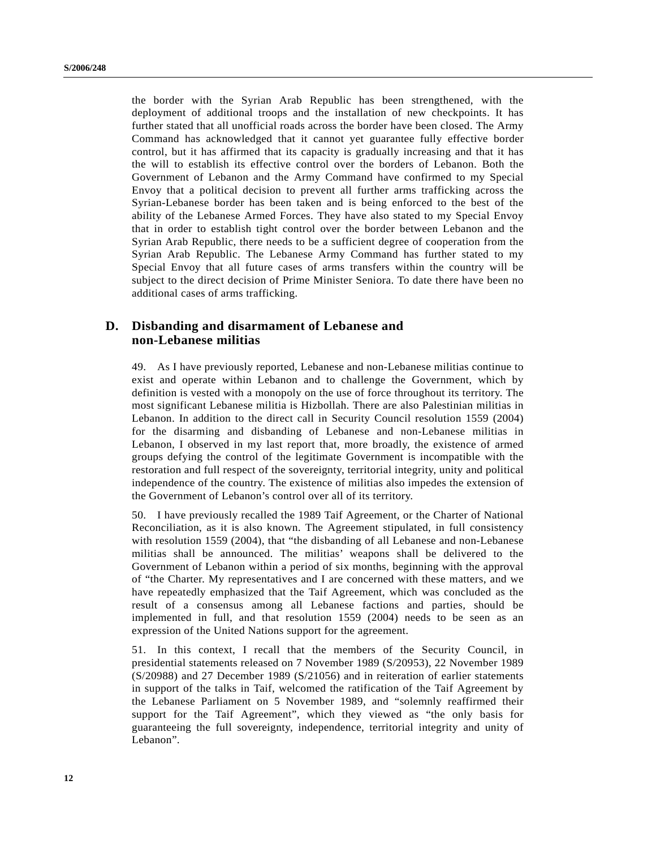the border with the Syrian Arab Republic has been strengthened, with the deployment of additional troops and the installation of new checkpoints. It has further stated that all unofficial roads across the border have been closed. The Army Command has acknowledged that it cannot yet guarantee fully effective border control, but it has affirmed that its capacity is gradually increasing and that it has the will to establish its effective control over the borders of Lebanon. Both the Government of Lebanon and the Army Command have confirmed to my Special Envoy that a political decision to prevent all further arms trafficking across the Syrian-Lebanese border has been taken and is being enforced to the best of the ability of the Lebanese Armed Forces. They have also stated to my Special Envoy that in order to establish tight control over the border between Lebanon and the Syrian Arab Republic, there needs to be a sufficient degree of cooperation from the Syrian Arab Republic. The Lebanese Army Command has further stated to my Special Envoy that all future cases of arms transfers within the country will be subject to the direct decision of Prime Minister Seniora. To date there have been no additional cases of arms trafficking.

## **D. Disbanding and disarmament of Lebanese and non-Lebanese militias**

49. As I have previously reported, Lebanese and non-Lebanese militias continue to exist and operate within Lebanon and to challenge the Government, which by definition is vested with a monopoly on the use of force throughout its territory. The most significant Lebanese militia is Hizbollah. There are also Palestinian militias in Lebanon. In addition to the direct call in Security Council resolution 1559 (2004) for the disarming and disbanding of Lebanese and non-Lebanese militias in Lebanon, I observed in my last report that, more broadly, the existence of armed groups defying the control of the legitimate Government is incompatible with the restoration and full respect of the sovereignty, territorial integrity, unity and political independence of the country. The existence of militias also impedes the extension of the Government of Lebanon's control over all of its territory.

50. I have previously recalled the 1989 Taif Agreement, or the Charter of National Reconciliation, as it is also known. The Agreement stipulated, in full consistency with resolution 1559 (2004), that "the disbanding of all Lebanese and non-Lebanese militias shall be announced. The militias' weapons shall be delivered to the Government of Lebanon within a period of six months, beginning with the approval of "the Charter. My representatives and I are concerned with these matters, and we have repeatedly emphasized that the Taif Agreement, which was concluded as the result of a consensus among all Lebanese factions and parties, should be implemented in full, and that resolution 1559 (2004) needs to be seen as an expression of the United Nations support for the agreement.

51. In this context, I recall that the members of the Security Council, in presidential statements released on 7 November 1989 (S/20953), 22 November 1989 (S/20988) and 27 December 1989 (S/21056) and in reiteration of earlier statements in support of the talks in Taif, welcomed the ratification of the Taif Agreement by the Lebanese Parliament on 5 November 1989, and "solemnly reaffirmed their support for the Taif Agreement", which they viewed as "the only basis for guaranteeing the full sovereignty, independence, territorial integrity and unity of Lebanon".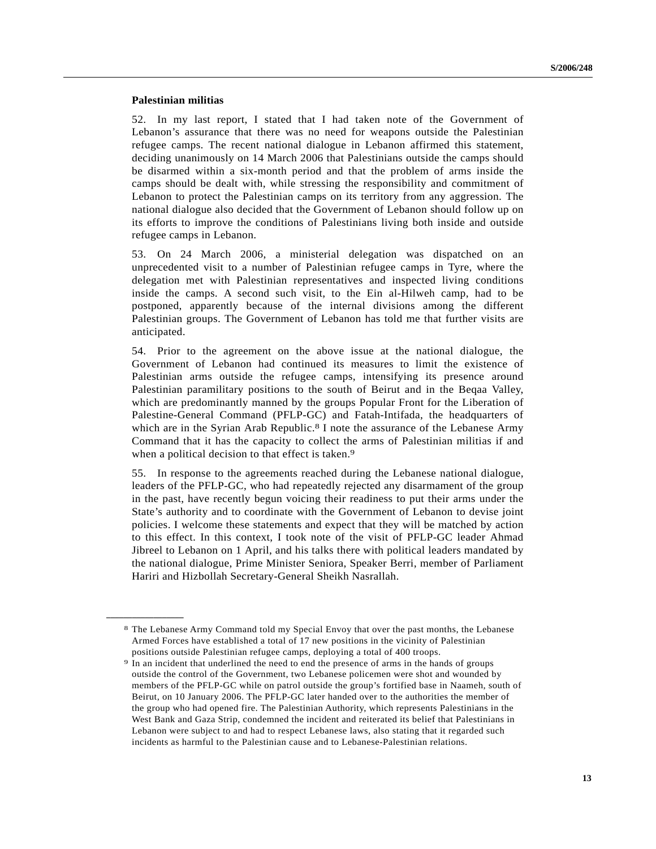### **Palestinian militias**

**\_\_\_\_\_\_\_\_\_\_\_\_\_\_\_\_\_\_**

52. In my last report, I stated that I had taken note of the Government of Lebanon's assurance that there was no need for weapons outside the Palestinian refugee camps. The recent national dialogue in Lebanon affirmed this statement, deciding unanimously on 14 March 2006 that Palestinians outside the camps should be disarmed within a six-month period and that the problem of arms inside the camps should be dealt with, while stressing the responsibility and commitment of Lebanon to protect the Palestinian camps on its territory from any aggression. The national dialogue also decided that the Government of Lebanon should follow up on its efforts to improve the conditions of Palestinians living both inside and outside refugee camps in Lebanon.

53. On 24 March 2006, a ministerial delegation was dispatched on an unprecedented visit to a number of Palestinian refugee camps in Tyre, where the delegation met with Palestinian representatives and inspected living conditions inside the camps. A second such visit, to the Ein al-Hilweh camp, had to be postponed, apparently because of the internal divisions among the different Palestinian groups. The Government of Lebanon has told me that further visits are anticipated.

54. Prior to the agreement on the above issue at the national dialogue, the Government of Lebanon had continued its measures to limit the existence of Palestinian arms outside the refugee camps, intensifying its presence around Palestinian paramilitary positions to the south of Beirut and in the Beqaa Valley, which are predominantly manned by the groups Popular Front for the Liberation of Palestine-General Command (PFLP-GC) and Fatah-Intifada, the headquarters of which are in the Syrian Arab Republic.<sup>8</sup> I note the assurance of the Lebanese Army Command that it has the capacity to collect the arms of Palestinian militias if and when a political decision to that effect is taken.<sup>9</sup>

55. In response to the agreements reached during the Lebanese national dialogue, leaders of the PFLP-GC, who had repeatedly rejected any disarmament of the group in the past, have recently begun voicing their readiness to put their arms under the State's authority and to coordinate with the Government of Lebanon to devise joint policies. I welcome these statements and expect that they will be matched by action to this effect. In this context, I took note of the visit of PFLP-GC leader Ahmad Jibreel to Lebanon on 1 April, and his talks there with political leaders mandated by the national dialogue, Prime Minister Seniora, Speaker Berri, member of Parliament Hariri and Hizbollah Secretary-General Sheikh Nasrallah.

<sup>8</sup> The Lebanese Army Command told my Special Envoy that over the past months, the Lebanese Armed Forces have established a total of 17 new positions in the vicinity of Palestinian positions outside Palestinian refugee camps, deploying a total of 400 troops.

<sup>9</sup> In an incident that underlined the need to end the presence of arms in the hands of groups outside the control of the Government, two Lebanese policemen were shot and wounded by members of the PFLP-GC while on patrol outside the group's fortified base in Naameh, south of Beirut, on 10 January 2006. The PFLP-GC later handed over to the authorities the member of the group who had opened fire. The Palestinian Authority, which represents Palestinians in the West Bank and Gaza Strip, condemned the incident and reiterated its belief that Palestinians in Lebanon were subject to and had to respect Lebanese laws, also stating that it regarded such incidents as harmful to the Palestinian cause and to Lebanese-Palestinian relations.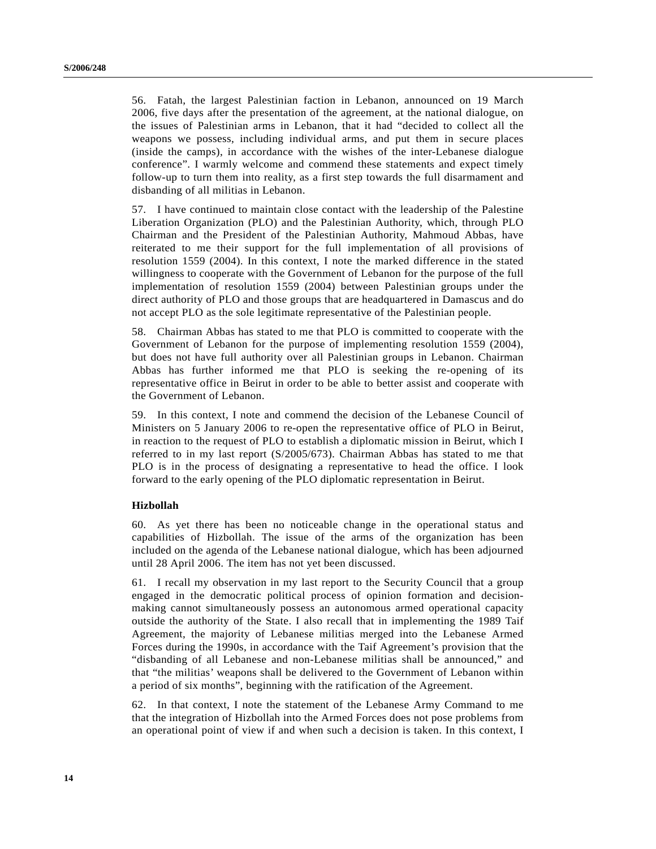56. Fatah, the largest Palestinian faction in Lebanon, announced on 19 March 2006, five days after the presentation of the agreement, at the national dialogue, on the issues of Palestinian arms in Lebanon, that it had "decided to collect all the weapons we possess, including individual arms, and put them in secure places (inside the camps), in accordance with the wishes of the inter-Lebanese dialogue conference". I warmly welcome and commend these statements and expect timely follow-up to turn them into reality, as a first step towards the full disarmament and disbanding of all militias in Lebanon.

57. I have continued to maintain close contact with the leadership of the Palestine Liberation Organization (PLO) and the Palestinian Authority, which, through PLO Chairman and the President of the Palestinian Authority, Mahmoud Abbas, have reiterated to me their support for the full implementation of all provisions of resolution 1559 (2004). In this context, I note the marked difference in the stated willingness to cooperate with the Government of Lebanon for the purpose of the full implementation of resolution 1559 (2004) between Palestinian groups under the direct authority of PLO and those groups that are headquartered in Damascus and do not accept PLO as the sole legitimate representative of the Palestinian people.

58. Chairman Abbas has stated to me that PLO is committed to cooperate with the Government of Lebanon for the purpose of implementing resolution 1559 (2004), but does not have full authority over all Palestinian groups in Lebanon. Chairman Abbas has further informed me that PLO is seeking the re-opening of its representative office in Beirut in order to be able to better assist and cooperate with the Government of Lebanon.

59. In this context, I note and commend the decision of the Lebanese Council of Ministers on 5 January 2006 to re-open the representative office of PLO in Beirut, in reaction to the request of PLO to establish a diplomatic mission in Beirut, which I referred to in my last report (S/2005/673). Chairman Abbas has stated to me that PLO is in the process of designating a representative to head the office. I look forward to the early opening of the PLO diplomatic representation in Beirut.

#### **Hizbollah**

60. As yet there has been no noticeable change in the operational status and capabilities of Hizbollah. The issue of the arms of the organization has been included on the agenda of the Lebanese national dialogue, which has been adjourned until 28 April 2006. The item has not yet been discussed.

61. I recall my observation in my last report to the Security Council that a group engaged in the democratic political process of opinion formation and decisionmaking cannot simultaneously possess an autonomous armed operational capacity outside the authority of the State. I also recall that in implementing the 1989 Taif Agreement, the majority of Lebanese militias merged into the Lebanese Armed Forces during the 1990s, in accordance with the Taif Agreement's provision that the "disbanding of all Lebanese and non-Lebanese militias shall be announced," and that "the militias' weapons shall be delivered to the Government of Lebanon within a period of six months", beginning with the ratification of the Agreement.

62. In that context, I note the statement of the Lebanese Army Command to me that the integration of Hizbollah into the Armed Forces does not pose problems from an operational point of view if and when such a decision is taken. In this context, I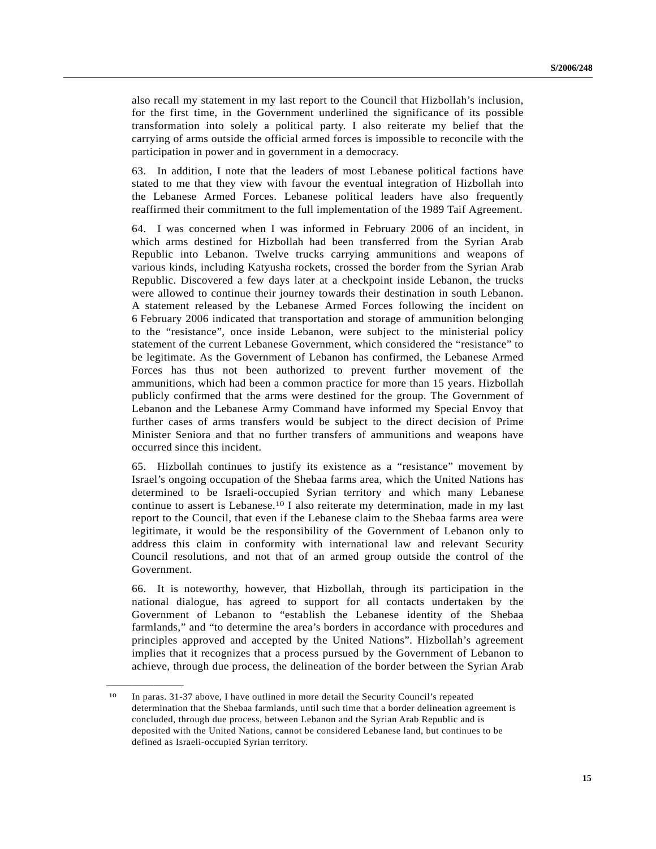also recall my statement in my last report to the Council that Hizbollah's inclusion, for the first time, in the Government underlined the significance of its possible transformation into solely a political party. I also reiterate my belief that the carrying of arms outside the official armed forces is impossible to reconcile with the participation in power and in government in a democracy.

63. In addition, I note that the leaders of most Lebanese political factions have stated to me that they view with favour the eventual integration of Hizbollah into the Lebanese Armed Forces. Lebanese political leaders have also frequently reaffirmed their commitment to the full implementation of the 1989 Taif Agreement.

64. I was concerned when I was informed in February 2006 of an incident, in which arms destined for Hizbollah had been transferred from the Syrian Arab Republic into Lebanon. Twelve trucks carrying ammunitions and weapons of various kinds, including Katyusha rockets, crossed the border from the Syrian Arab Republic. Discovered a few days later at a checkpoint inside Lebanon, the trucks were allowed to continue their journey towards their destination in south Lebanon. A statement released by the Lebanese Armed Forces following the incident on 6 February 2006 indicated that transportation and storage of ammunition belonging to the "resistance", once inside Lebanon, were subject to the ministerial policy statement of the current Lebanese Government, which considered the "resistance" to be legitimate. As the Government of Lebanon has confirmed, the Lebanese Armed Forces has thus not been authorized to prevent further movement of the ammunitions, which had been a common practice for more than 15 years. Hizbollah publicly confirmed that the arms were destined for the group. The Government of Lebanon and the Lebanese Army Command have informed my Special Envoy that further cases of arms transfers would be subject to the direct decision of Prime Minister Seniora and that no further transfers of ammunitions and weapons have occurred since this incident.

65. Hizbollah continues to justify its existence as a "resistance" movement by Israel's ongoing occupation of the Shebaa farms area, which the United Nations has determined to be Israeli-occupied Syrian territory and which many Lebanese continue to assert is Lebanese.10 I also reiterate my determination, made in my last report to the Council, that even if the Lebanese claim to the Shebaa farms area were legitimate, it would be the responsibility of the Government of Lebanon only to address this claim in conformity with international law and relevant Security Council resolutions, and not that of an armed group outside the control of the Government.

66. It is noteworthy, however, that Hizbollah, through its participation in the national dialogue, has agreed to support for all contacts undertaken by the Government of Lebanon to "establish the Lebanese identity of the Shebaa farmlands," and "to determine the area's borders in accordance with procedures and principles approved and accepted by the United Nations". Hizbollah's agreement implies that it recognizes that a process pursued by the Government of Lebanon to achieve, through due process, the delineation of the border between the Syrian Arab

**\_\_\_\_\_\_\_\_\_\_\_\_\_\_\_\_\_\_**

<sup>10</sup> In paras. 31-37 above, I have outlined in more detail the Security Council's repeated determination that the Shebaa farmlands, until such time that a border delineation agreement is concluded, through due process, between Lebanon and the Syrian Arab Republic and is deposited with the United Nations, cannot be considered Lebanese land, but continues to be defined as Israeli-occupied Syrian territory.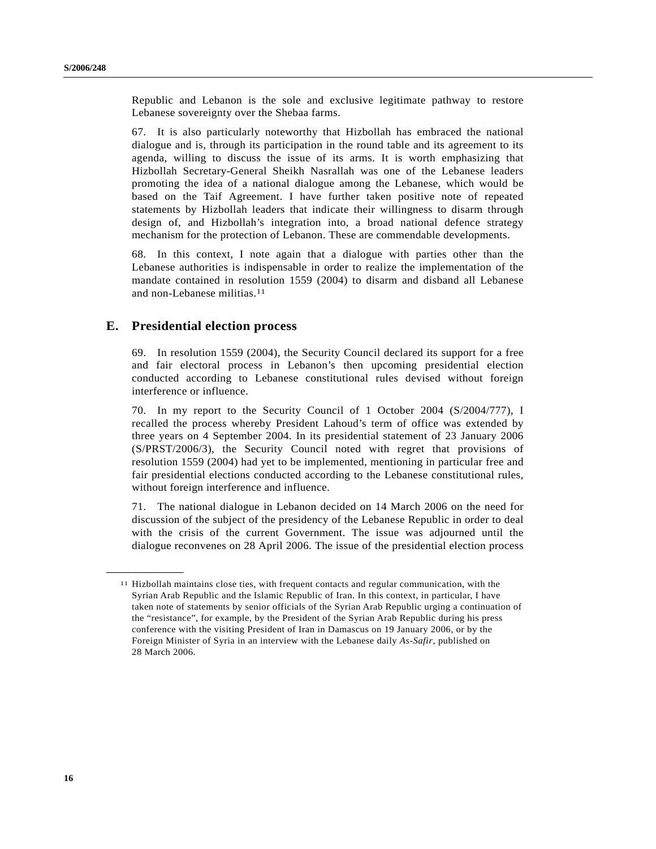Republic and Lebanon is the sole and exclusive legitimate pathway to restore Lebanese sovereignty over the Shebaa farms.

67. It is also particularly noteworthy that Hizbollah has embraced the national dialogue and is, through its participation in the round table and its agreement to its agenda, willing to discuss the issue of its arms. It is worth emphasizing that Hizbollah Secretary-General Sheikh Nasrallah was one of the Lebanese leaders promoting the idea of a national dialogue among the Lebanese, which would be based on the Taif Agreement. I have further taken positive note of repeated statements by Hizbollah leaders that indicate their willingness to disarm through design of, and Hizbollah's integration into, a broad national defence strategy mechanism for the protection of Lebanon. These are commendable developments.

68. In this context, I note again that a dialogue with parties other than the Lebanese authorities is indispensable in order to realize the implementation of the mandate contained in resolution 1559 (2004) to disarm and disband all Lebanese and non-Lebanese militias.11

## **E. Presidential election process**

**\_\_\_\_\_\_\_\_\_\_\_\_\_\_\_\_\_\_**

69. In resolution 1559 (2004), the Security Council declared its support for a free and fair electoral process in Lebanon's then upcoming presidential election conducted according to Lebanese constitutional rules devised without foreign interference or influence.

70. In my report to the Security Council of 1 October 2004 (S/2004/777), I recalled the process whereby President Lahoud's term of office was extended by three years on 4 September 2004. In its presidential statement of 23 January 2006 (S/PRST/2006/3), the Security Council noted with regret that provisions of resolution 1559 (2004) had yet to be implemented, mentioning in particular free and fair presidential elections conducted according to the Lebanese constitutional rules, without foreign interference and influence.

71. The national dialogue in Lebanon decided on 14 March 2006 on the need for discussion of the subject of the presidency of the Lebanese Republic in order to deal with the crisis of the current Government. The issue was adjourned until the dialogue reconvenes on 28 April 2006. The issue of the presidential election process

<sup>11</sup> Hizbollah maintains close ties, with frequent contacts and regular communication, with the Syrian Arab Republic and the Islamic Republic of Iran. In this context, in particular, I have taken note of statements by senior officials of the Syrian Arab Republic urging a continuation of the "resistance", for example, by the President of the Syrian Arab Republic during his press conference with the visiting President of Iran in Damascus on 19 January 2006, or by the Foreign Minister of Syria in an interview with the Lebanese daily *As-Safir*, published on 28 March 2006.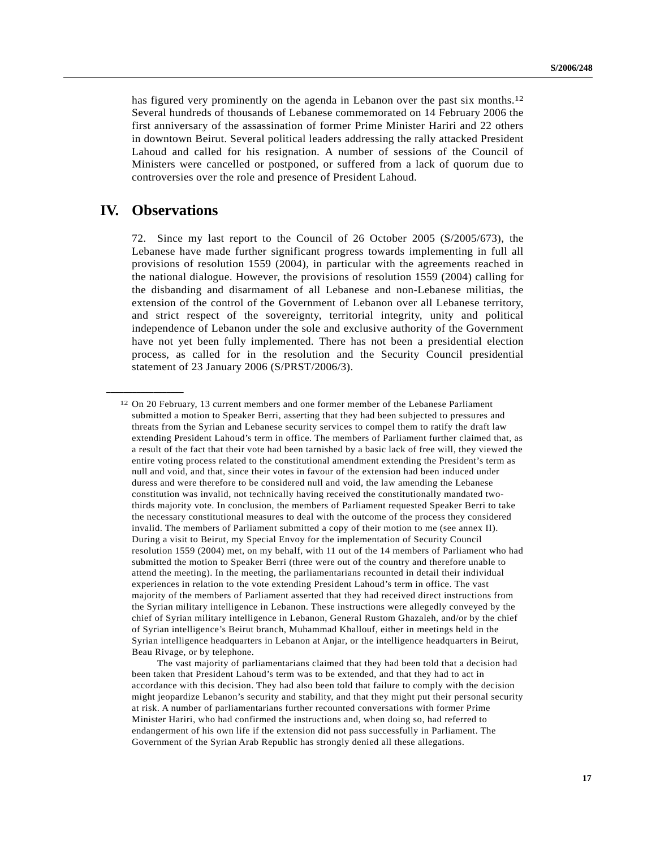has figured very prominently on the agenda in Lebanon over the past six months.<sup>12</sup> Several hundreds of thousands of Lebanese commemorated on 14 February 2006 the first anniversary of the assassination of former Prime Minister Hariri and 22 others in downtown Beirut. Several political leaders addressing the rally attacked President Lahoud and called for his resignation. A number of sessions of the Council of Ministers were cancelled or postponed, or suffered from a lack of quorum due to controversies over the role and presence of President Lahoud.

## **IV. Observations**

**\_\_\_\_\_\_\_\_\_\_\_\_\_\_\_\_\_\_**

72. Since my last report to the Council of 26 October 2005 (S/2005/673), the Lebanese have made further significant progress towards implementing in full all provisions of resolution 1559 (2004), in particular with the agreements reached in the national dialogue. However, the provisions of resolution 1559 (2004) calling for the disbanding and disarmament of all Lebanese and non-Lebanese militias, the extension of the control of the Government of Lebanon over all Lebanese territory, and strict respect of the sovereignty, territorial integrity, unity and political independence of Lebanon under the sole and exclusive authority of the Government have not yet been fully implemented. There has not been a presidential election process, as called for in the resolution and the Security Council presidential statement of 23 January 2006 (S/PRST/2006/3).

<sup>12</sup> On 20 February, 13 current members and one former member of the Lebanese Parliament submitted a motion to Speaker Berri, asserting that they had been subjected to pressures and threats from the Syrian and Lebanese security services to compel them to ratify the draft law extending President Lahoud's term in office. The members of Parliament further claimed that, as a result of the fact that their vote had been tarnished by a basic lack of free will, they viewed the entire voting process related to the constitutional amendment extending the President's term as null and void, and that, since their votes in favour of the extension had been induced under duress and were therefore to be considered null and void, the law amending the Lebanese constitution was invalid, not technically having received the constitutionally mandated twothirds majority vote. In conclusion, the members of Parliament requested Speaker Berri to take the necessary constitutional measures to deal with the outcome of the process they considered invalid. The members of Parliament submitted a copy of their motion to me (see annex II). During a visit to Beirut, my Special Envoy for the implementation of Security Council resolution 1559 (2004) met, on my behalf, with 11 out of the 14 members of Parliament who had submitted the motion to Speaker Berri (three were out of the country and therefore unable to attend the meeting). In the meeting, the parliamentarians recounted in detail their individual experiences in relation to the vote extending President Lahoud's term in office. The vast majority of the members of Parliament asserted that they had received direct instructions from the Syrian military intelligence in Lebanon. These instructions were allegedly conveyed by the chief of Syrian military intelligence in Lebanon, General Rustom Ghazaleh, and/or by the chief of Syrian intelligence's Beirut branch, Muhammad Khallouf, either in meetings held in the Syrian intelligence headquarters in Lebanon at Anjar, or the intelligence headquarters in Beirut, Beau Rivage, or by telephone.

The vast majority of parliamentarians claimed that they had been told that a decision had been taken that President Lahoud's term was to be extended, and that they had to act in accordance with this decision. They had also been told that failure to comply with the decision might jeopardize Lebanon's security and stability, and that they might put their personal security at risk. A number of parliamentarians further recounted conversations with former Prime Minister Hariri, who had confirmed the instructions and, when doing so, had referred to endangerment of his own life if the extension did not pass successfully in Parliament. The Government of the Syrian Arab Republic has strongly denied all these allegations.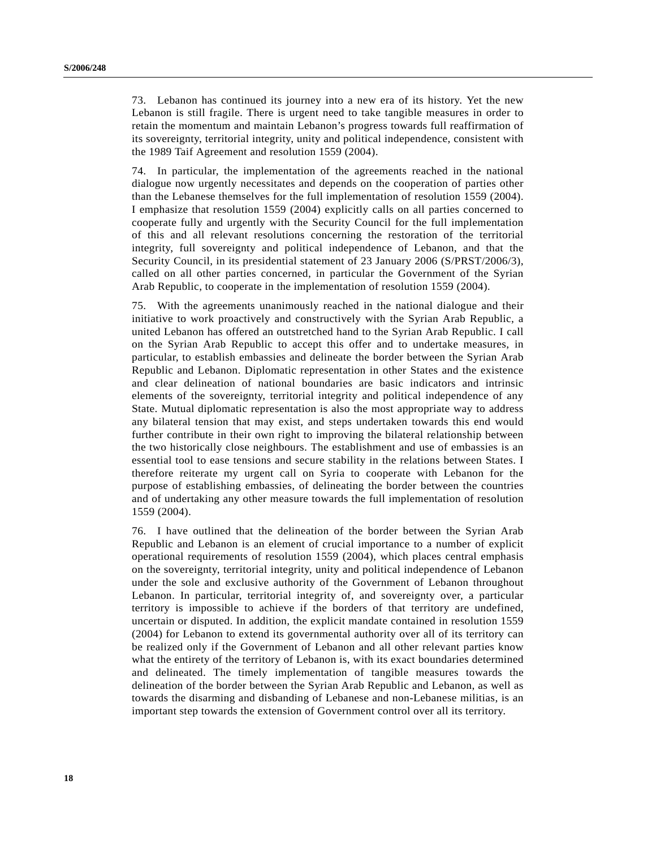73. Lebanon has continued its journey into a new era of its history. Yet the new Lebanon is still fragile. There is urgent need to take tangible measures in order to retain the momentum and maintain Lebanon's progress towards full reaffirmation of its sovereignty, territorial integrity, unity and political independence, consistent with the 1989 Taif Agreement and resolution 1559 (2004).

74. In particular, the implementation of the agreements reached in the national dialogue now urgently necessitates and depends on the cooperation of parties other than the Lebanese themselves for the full implementation of resolution 1559 (2004). I emphasize that resolution 1559 (2004) explicitly calls on all parties concerned to cooperate fully and urgently with the Security Council for the full implementation of this and all relevant resolutions concerning the restoration of the territorial integrity, full sovereignty and political independence of Lebanon, and that the Security Council, in its presidential statement of 23 January 2006 (S/PRST/2006/3), called on all other parties concerned, in particular the Government of the Syrian Arab Republic, to cooperate in the implementation of resolution 1559 (2004).

75. With the agreements unanimously reached in the national dialogue and their initiative to work proactively and constructively with the Syrian Arab Republic, a united Lebanon has offered an outstretched hand to the Syrian Arab Republic. I call on the Syrian Arab Republic to accept this offer and to undertake measures, in particular, to establish embassies and delineate the border between the Syrian Arab Republic and Lebanon. Diplomatic representation in other States and the existence and clear delineation of national boundaries are basic indicators and intrinsic elements of the sovereignty, territorial integrity and political independence of any State. Mutual diplomatic representation is also the most appropriate way to address any bilateral tension that may exist, and steps undertaken towards this end would further contribute in their own right to improving the bilateral relationship between the two historically close neighbours. The establishment and use of embassies is an essential tool to ease tensions and secure stability in the relations between States. I therefore reiterate my urgent call on Syria to cooperate with Lebanon for the purpose of establishing embassies, of delineating the border between the countries and of undertaking any other measure towards the full implementation of resolution 1559 (2004).

76. I have outlined that the delineation of the border between the Syrian Arab Republic and Lebanon is an element of crucial importance to a number of explicit operational requirements of resolution 1559 (2004), which places central emphasis on the sovereignty, territorial integrity, unity and political independence of Lebanon under the sole and exclusive authority of the Government of Lebanon throughout Lebanon. In particular, territorial integrity of, and sovereignty over, a particular territory is impossible to achieve if the borders of that territory are undefined, uncertain or disputed. In addition, the explicit mandate contained in resolution 1559 (2004) for Lebanon to extend its governmental authority over all of its territory can be realized only if the Government of Lebanon and all other relevant parties know what the entirety of the territory of Lebanon is, with its exact boundaries determined and delineated. The timely implementation of tangible measures towards the delineation of the border between the Syrian Arab Republic and Lebanon, as well as towards the disarming and disbanding of Lebanese and non-Lebanese militias, is an important step towards the extension of Government control over all its territory.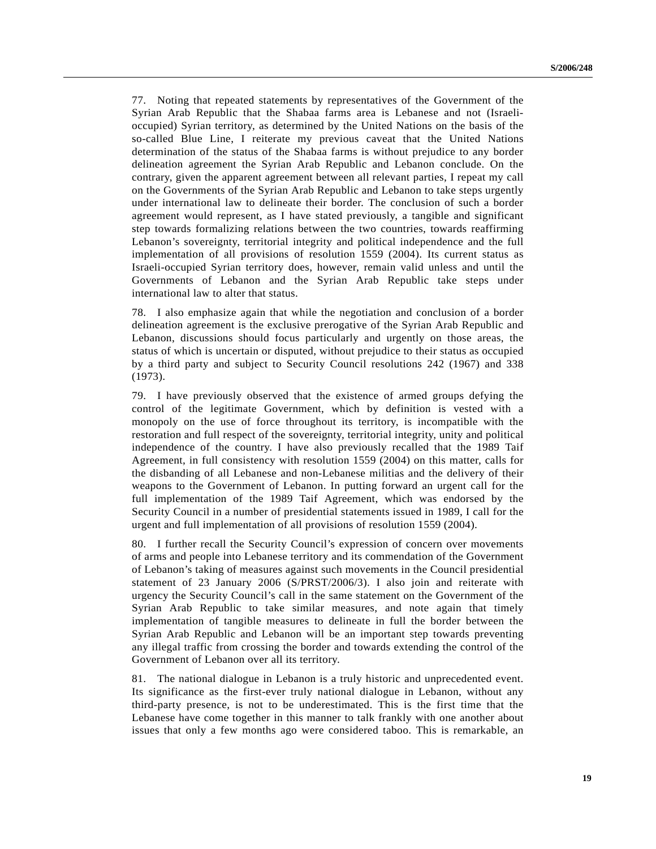77. Noting that repeated statements by representatives of the Government of the Syrian Arab Republic that the Shabaa farms area is Lebanese and not (Israelioccupied) Syrian territory, as determined by the United Nations on the basis of the so-called Blue Line, I reiterate my previous caveat that the United Nations determination of the status of the Shabaa farms is without prejudice to any border delineation agreement the Syrian Arab Republic and Lebanon conclude. On the contrary, given the apparent agreement between all relevant parties, I repeat my call on the Governments of the Syrian Arab Republic and Lebanon to take steps urgently under international law to delineate their border. The conclusion of such a border agreement would represent, as I have stated previously, a tangible and significant step towards formalizing relations between the two countries, towards reaffirming Lebanon's sovereignty, territorial integrity and political independence and the full implementation of all provisions of resolution 1559 (2004). Its current status as Israeli-occupied Syrian territory does, however, remain valid unless and until the Governments of Lebanon and the Syrian Arab Republic take steps under international law to alter that status.

78. I also emphasize again that while the negotiation and conclusion of a border delineation agreement is the exclusive prerogative of the Syrian Arab Republic and Lebanon, discussions should focus particularly and urgently on those areas, the status of which is uncertain or disputed, without prejudice to their status as occupied by a third party and subject to Security Council resolutions 242 (1967) and 338 (1973).

79. I have previously observed that the existence of armed groups defying the control of the legitimate Government, which by definition is vested with a monopoly on the use of force throughout its territory, is incompatible with the restoration and full respect of the sovereignty, territorial integrity, unity and political independence of the country. I have also previously recalled that the 1989 Taif Agreement, in full consistency with resolution 1559 (2004) on this matter, calls for the disbanding of all Lebanese and non-Lebanese militias and the delivery of their weapons to the Government of Lebanon. In putting forward an urgent call for the full implementation of the 1989 Taif Agreement, which was endorsed by the Security Council in a number of presidential statements issued in 1989, I call for the urgent and full implementation of all provisions of resolution 1559 (2004).

80. I further recall the Security Council's expression of concern over movements of arms and people into Lebanese territory and its commendation of the Government of Lebanon's taking of measures against such movements in the Council presidential statement of 23 January 2006 (S/PRST/2006/3). I also join and reiterate with urgency the Security Council's call in the same statement on the Government of the Syrian Arab Republic to take similar measures, and note again that timely implementation of tangible measures to delineate in full the border between the Syrian Arab Republic and Lebanon will be an important step towards preventing any illegal traffic from crossing the border and towards extending the control of the Government of Lebanon over all its territory.

81. The national dialogue in Lebanon is a truly historic and unprecedented event. Its significance as the first-ever truly national dialogue in Lebanon, without any third-party presence, is not to be underestimated. This is the first time that the Lebanese have come together in this manner to talk frankly with one another about issues that only a few months ago were considered taboo. This is remarkable, an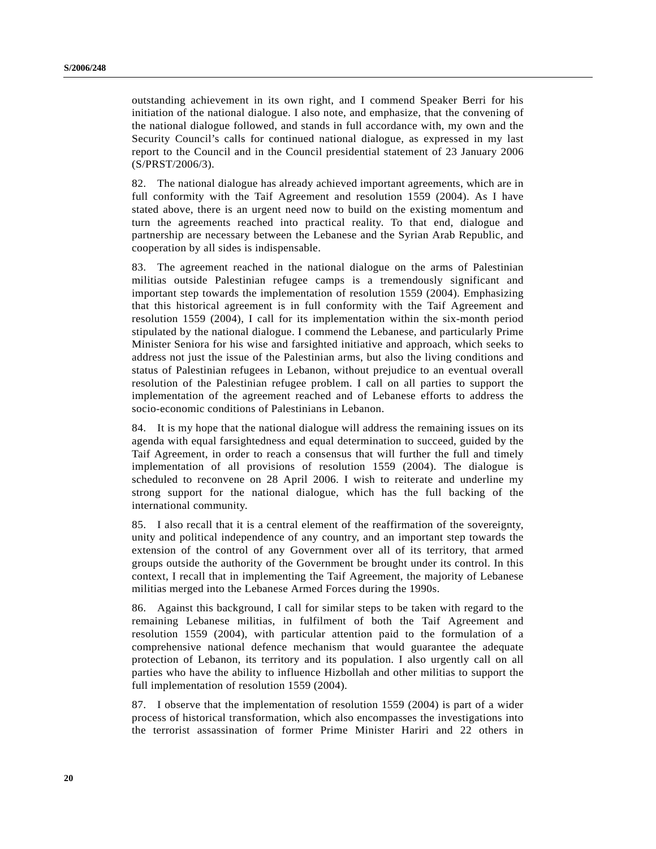outstanding achievement in its own right, and I commend Speaker Berri for his initiation of the national dialogue. I also note, and emphasize, that the convening of the national dialogue followed, and stands in full accordance with, my own and the Security Council's calls for continued national dialogue, as expressed in my last report to the Council and in the Council presidential statement of 23 January 2006 (S/PRST/2006/3).

82. The national dialogue has already achieved important agreements, which are in full conformity with the Taif Agreement and resolution 1559 (2004). As I have stated above, there is an urgent need now to build on the existing momentum and turn the agreements reached into practical reality. To that end, dialogue and partnership are necessary between the Lebanese and the Syrian Arab Republic, and cooperation by all sides is indispensable.

83. The agreement reached in the national dialogue on the arms of Palestinian militias outside Palestinian refugee camps is a tremendously significant and important step towards the implementation of resolution 1559 (2004). Emphasizing that this historical agreement is in full conformity with the Taif Agreement and resolution 1559 (2004), I call for its implementation within the six-month period stipulated by the national dialogue. I commend the Lebanese, and particularly Prime Minister Seniora for his wise and farsighted initiative and approach, which seeks to address not just the issue of the Palestinian arms, but also the living conditions and status of Palestinian refugees in Lebanon, without prejudice to an eventual overall resolution of the Palestinian refugee problem. I call on all parties to support the implementation of the agreement reached and of Lebanese efforts to address the socio-economic conditions of Palestinians in Lebanon.

84. It is my hope that the national dialogue will address the remaining issues on its agenda with equal farsightedness and equal determination to succeed, guided by the Taif Agreement, in order to reach a consensus that will further the full and timely implementation of all provisions of resolution 1559 (2004). The dialogue is scheduled to reconvene on 28 April 2006. I wish to reiterate and underline my strong support for the national dialogue, which has the full backing of the international community.

85. I also recall that it is a central element of the reaffirmation of the sovereignty, unity and political independence of any country, and an important step towards the extension of the control of any Government over all of its territory, that armed groups outside the authority of the Government be brought under its control. In this context, I recall that in implementing the Taif Agreement, the majority of Lebanese militias merged into the Lebanese Armed Forces during the 1990s.

86. Against this background, I call for similar steps to be taken with regard to the remaining Lebanese militias, in fulfilment of both the Taif Agreement and resolution 1559 (2004), with particular attention paid to the formulation of a comprehensive national defence mechanism that would guarantee the adequate protection of Lebanon, its territory and its population. I also urgently call on all parties who have the ability to influence Hizbollah and other militias to support the full implementation of resolution 1559 (2004).

87. I observe that the implementation of resolution 1559 (2004) is part of a wider process of historical transformation, which also encompasses the investigations into the terrorist assassination of former Prime Minister Hariri and 22 others in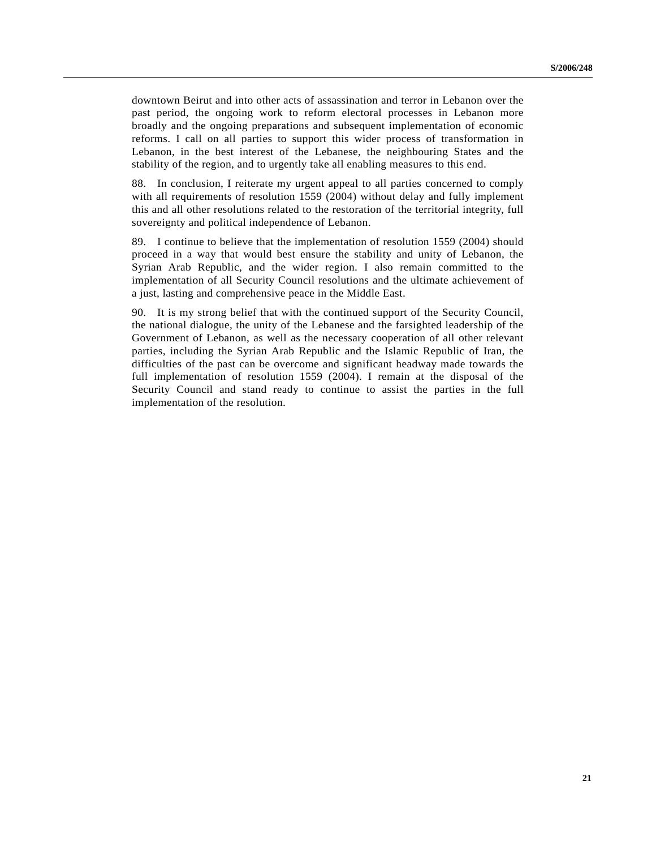downtown Beirut and into other acts of assassination and terror in Lebanon over the past period, the ongoing work to reform electoral processes in Lebanon more broadly and the ongoing preparations and subsequent implementation of economic reforms. I call on all parties to support this wider process of transformation in Lebanon, in the best interest of the Lebanese, the neighbouring States and the stability of the region, and to urgently take all enabling measures to this end.

88. In conclusion, I reiterate my urgent appeal to all parties concerned to comply with all requirements of resolution 1559 (2004) without delay and fully implement this and all other resolutions related to the restoration of the territorial integrity, full sovereignty and political independence of Lebanon.

89. I continue to believe that the implementation of resolution 1559 (2004) should proceed in a way that would best ensure the stability and unity of Lebanon, the Syrian Arab Republic, and the wider region. I also remain committed to the implementation of all Security Council resolutions and the ultimate achievement of a just, lasting and comprehensive peace in the Middle East.

90. It is my strong belief that with the continued support of the Security Council, the national dialogue, the unity of the Lebanese and the farsighted leadership of the Government of Lebanon, as well as the necessary cooperation of all other relevant parties, including the Syrian Arab Republic and the Islamic Republic of Iran, the difficulties of the past can be overcome and significant headway made towards the full implementation of resolution 1559 (2004). I remain at the disposal of the Security Council and stand ready to continue to assist the parties in the full implementation of the resolution.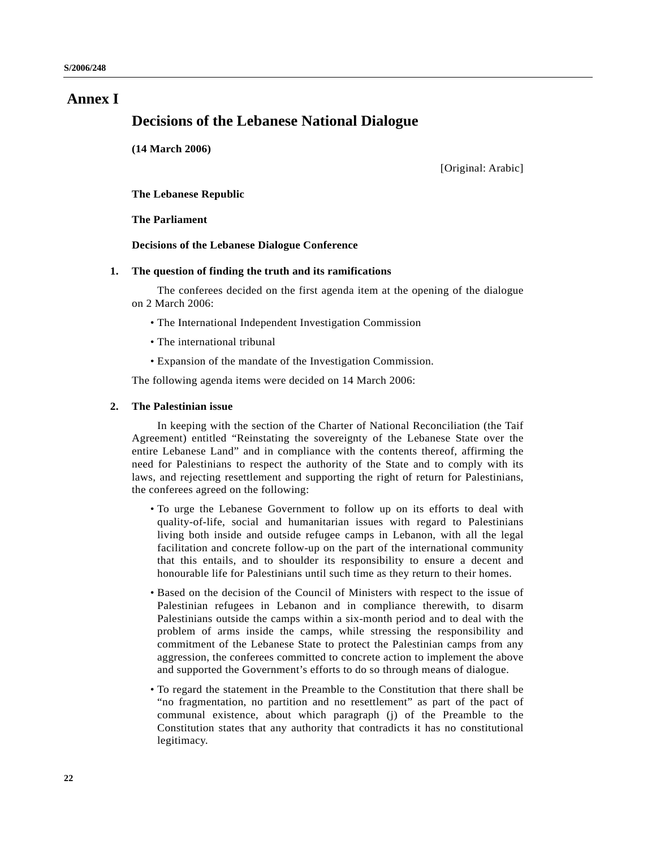# **Annex I**

## **Decisions of the Lebanese National Dialogue**

**(14 March 2006)**

[Original: Arabic]

**The Lebanese Republic**

**The Parliament**

**Decisions of the Lebanese Dialogue Conference**

### **1. The question of finding the truth and its ramifications**

The conferees decided on the first agenda item at the opening of the dialogue on 2 March 2006:

- The International Independent Investigation Commission
- The international tribunal
- Expansion of the mandate of the Investigation Commission.

The following agenda items were decided on 14 March 2006:

### **2. The Palestinian issue**

In keeping with the section of the Charter of National Reconciliation (the Taif Agreement) entitled "Reinstating the sovereignty of the Lebanese State over the entire Lebanese Land" and in compliance with the contents thereof, affirming the need for Palestinians to respect the authority of the State and to comply with its laws, and rejecting resettlement and supporting the right of return for Palestinians, the conferees agreed on the following:

- To urge the Lebanese Government to follow up on its efforts to deal with quality-of-life, social and humanitarian issues with regard to Palestinians living both inside and outside refugee camps in Lebanon, with all the legal facilitation and concrete follow-up on the part of the international community that this entails, and to shoulder its responsibility to ensure a decent and honourable life for Palestinians until such time as they return to their homes.
- Based on the decision of the Council of Ministers with respect to the issue of Palestinian refugees in Lebanon and in compliance therewith, to disarm Palestinians outside the camps within a six-month period and to deal with the problem of arms inside the camps, while stressing the responsibility and commitment of the Lebanese State to protect the Palestinian camps from any aggression, the conferees committed to concrete action to implement the above and supported the Government's efforts to do so through means of dialogue.
- To regard the statement in the Preamble to the Constitution that there shall be "no fragmentation, no partition and no resettlement" as part of the pact of communal existence, about which paragraph (j) of the Preamble to the Constitution states that any authority that contradicts it has no constitutional legitimacy.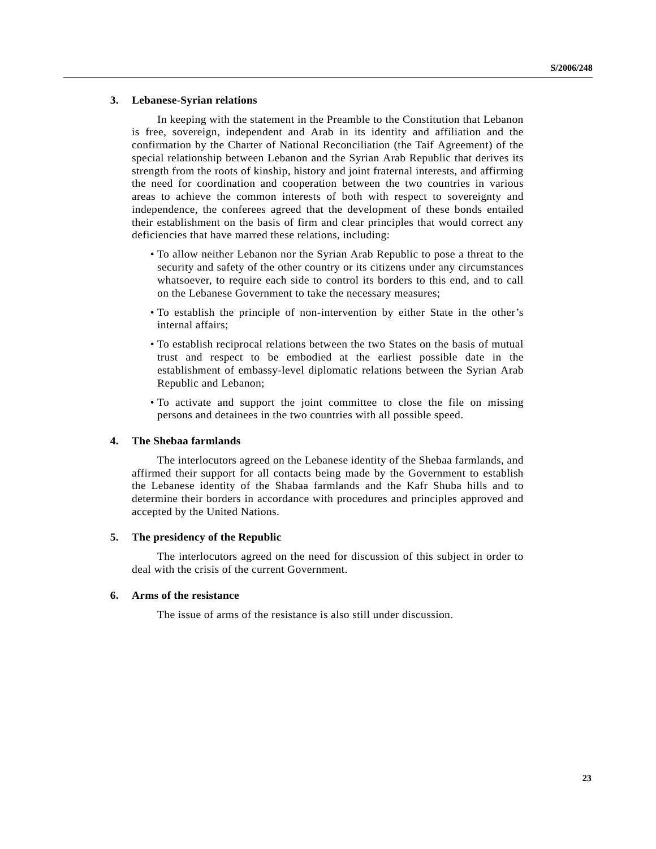### **3. Lebanese-Syrian relations**

In keeping with the statement in the Preamble to the Constitution that Lebanon is free, sovereign, independent and Arab in its identity and affiliation and the confirmation by the Charter of National Reconciliation (the Taif Agreement) of the special relationship between Lebanon and the Syrian Arab Republic that derives its strength from the roots of kinship, history and joint fraternal interests, and affirming the need for coordination and cooperation between the two countries in various areas to achieve the common interests of both with respect to sovereignty and independence, the conferees agreed that the development of these bonds entailed their establishment on the basis of firm and clear principles that would correct any deficiencies that have marred these relations, including:

- To allow neither Lebanon nor the Syrian Arab Republic to pose a threat to the security and safety of the other country or its citizens under any circumstances whatsoever, to require each side to control its borders to this end, and to call on the Lebanese Government to take the necessary measures;
- To establish the principle of non-intervention by either State in the other's internal affairs;
- To establish reciprocal relations between the two States on the basis of mutual trust and respect to be embodied at the earliest possible date in the establishment of embassy-level diplomatic relations between the Syrian Arab Republic and Lebanon;
- To activate and support the joint committee to close the file on missing persons and detainees in the two countries with all possible speed.

### **4. The Shebaa farmlands**

The interlocutors agreed on the Lebanese identity of the Shebaa farmlands, and affirmed their support for all contacts being made by the Government to establish the Lebanese identity of the Shabaa farmlands and the Kafr Shuba hills and to determine their borders in accordance with procedures and principles approved and accepted by the United Nations.

### **5. The presidency of the Republic**

The interlocutors agreed on the need for discussion of this subject in order to deal with the crisis of the current Government.

### **6. Arms of the resistance**

The issue of arms of the resistance is also still under discussion.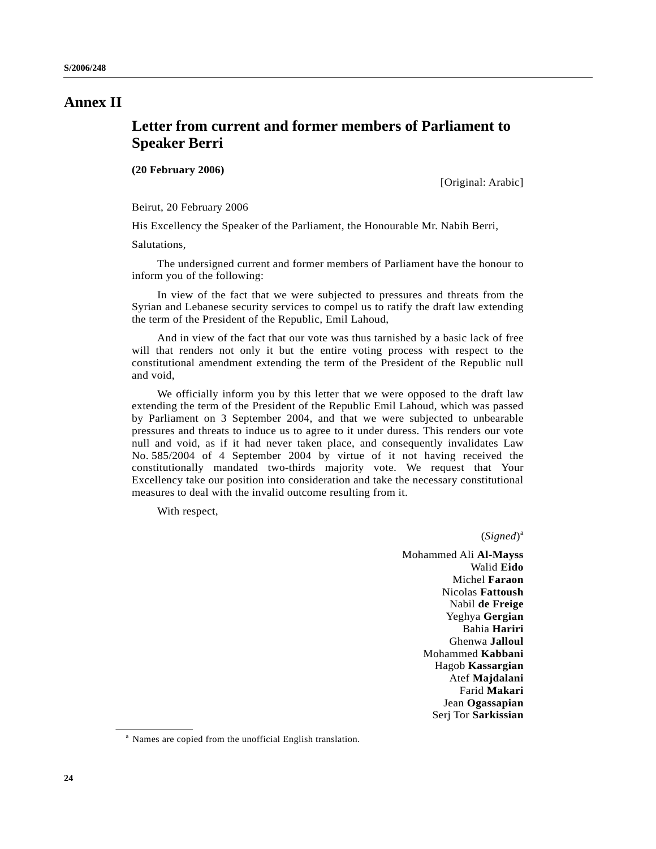# **Annex II**

# **Letter from current and former members of Parliament to Speaker Berri**

**(20 February 2006)**

[Original: Arabic]

Beirut, 20 February 2006

His Excellency the Speaker of the Parliament, the Honourable Mr. Nabih Berri,

Salutations,

The undersigned current and former members of Parliament have the honour to inform you of the following:

In view of the fact that we were subjected to pressures and threats from the Syrian and Lebanese security services to compel us to ratify the draft law extending the term of the President of the Republic, Emil Lahoud,

And in view of the fact that our vote was thus tarnished by a basic lack of free will that renders not only it but the entire voting process with respect to the constitutional amendment extending the term of the President of the Republic null and void,

We officially inform you by this letter that we were opposed to the draft law extending the term of the President of the Republic Emil Lahoud, which was passed by Parliament on 3 September 2004, and that we were subjected to unbearable pressures and threats to induce us to agree to it under duress. This renders our vote null and void, as if it had never taken place, and consequently invalidates Law No. 585/2004 of 4 September 2004 by virtue of it not having received the constitutionally mandated two-thirds majority vote. We request that Your Excellency take our position into consideration and take the necessary constitutional measures to deal with the invalid outcome resulting from it.

With respect,

(*Signed*) a

Mohammed Ali **Al-Mayss** Walid **Eido** Michel **Faraon** Nicolas **Fattoush** Nabil **de Freige** Yeghya **Gergian** Bahia **Hariri** Ghenwa **Jalloul** Mohammed **Kabbani** Hagob **Kassargian** Atef **Majdalani** Farid **Makari** Jean **Ogassapian** Serj Tor **Sarkissian**

<sup>&</sup>lt;sup>a</sup> Names are copied from the unofficial English translation.